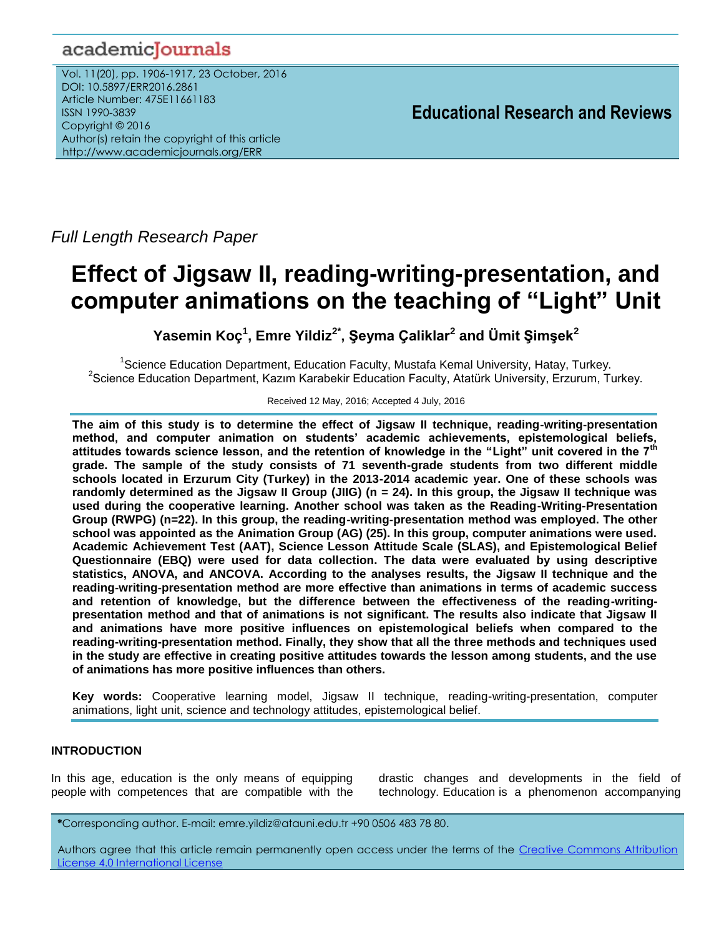# academicJournals

Vol. 11(20), pp. 1906-1917, 23 October, 2016 DOI: 10.5897/ERR2016.2861 Article Number: 475E11661183 ISSN 1990-3839 Copyright © 2016 Author(s) retain the copyright of this article http://www.academicjournals.org/ERR

**Educational Research and Reviews**

*Full Length Research Paper*

# **Effect of Jigsaw II, reading-writing-presentation, and computer animations on the teaching of "Light" Unit**

**Yasemin Koç<sup>1</sup> , Emre Yildiz2\* , Şeyma Çaliklar<sup>2</sup> and Ümit Şimşek<sup>2</sup>**

<sup>1</sup>Science Education Department, Education Faculty, Mustafa Kemal University, Hatay, Turkey. <sup>2</sup>Science Education Department, Kazım Karabekir Education Faculty, Atatürk University, Erzurum, Turkey.

Received 12 May, 2016; Accepted 4 July, 2016

**The aim of this study is to determine the effect of Jigsaw II technique, reading-writing-presentation method, and computer animation on students' academic achievements, epistemological beliefs, attitudes towards science lesson, and the retention of knowledge in the "Light" unit covered in the 7th grade. The sample of the study consists of 71 seventh-grade students from two different middle schools located in Erzurum City (Turkey) in the 2013-2014 academic year. One of these schools was randomly determined as the Jigsaw II Group (JIIG) (n = 24). In this group, the Jigsaw II technique was used during the cooperative learning. Another school was taken as the Reading-Writing-Presentation Group (RWPG) (n=22). In this group, the reading-writing-presentation method was employed. The other school was appointed as the Animation Group (AG) (25). In this group, computer animations were used. Academic Achievement Test (AAT), Science Lesson Attitude Scale (SLAS), and Epistemological Belief Questionnaire (EBQ) were used for data collection. The data were evaluated by using descriptive statistics, ANOVA, and ANCOVA. According to the analyses results, the Jigsaw II technique and the reading-writing-presentation method are more effective than animations in terms of academic success and retention of knowledge, but the difference between the effectiveness of the reading-writingpresentation method and that of animations is not significant. The results also indicate that Jigsaw II and animations have more positive influences on epistemological beliefs when compared to the reading-writing-presentation method. Finally, they show that all the three methods and techniques used in the study are effective in creating positive attitudes towards the lesson among students, and the use of animations has more positive influences than others.**

**Key words:** Cooperative learning model, Jigsaw II technique, reading-writing-presentation, computer animations, light unit, science and technology attitudes, epistemological belief.

# **INTRODUCTION**

In this age, education is the only means of equipping people with competences that are compatible with the

drastic changes and developments in the field of technology. Education is a phenomenon accompanying

**\***Corresponding author. E-mail: emre.yildiz@atauni.edu.tr +90 0506 483 78 80.

Authors agree that this article remain permanently open access under the terms of the [Creative Commons Attribution](file://192.168.1.24/reading/Arts%20and%20Education/ERR/2014/sept/read/Correction%20Pdf%201/ERR-17.04.14-1816/Publication/Creative%20Co)  [License 4.0 International License](file://192.168.1.24/reading/Arts%20and%20Education/ERR/2014/sept/read/Correction%20Pdf%201/ERR-17.04.14-1816/Publication/Creative%20Co)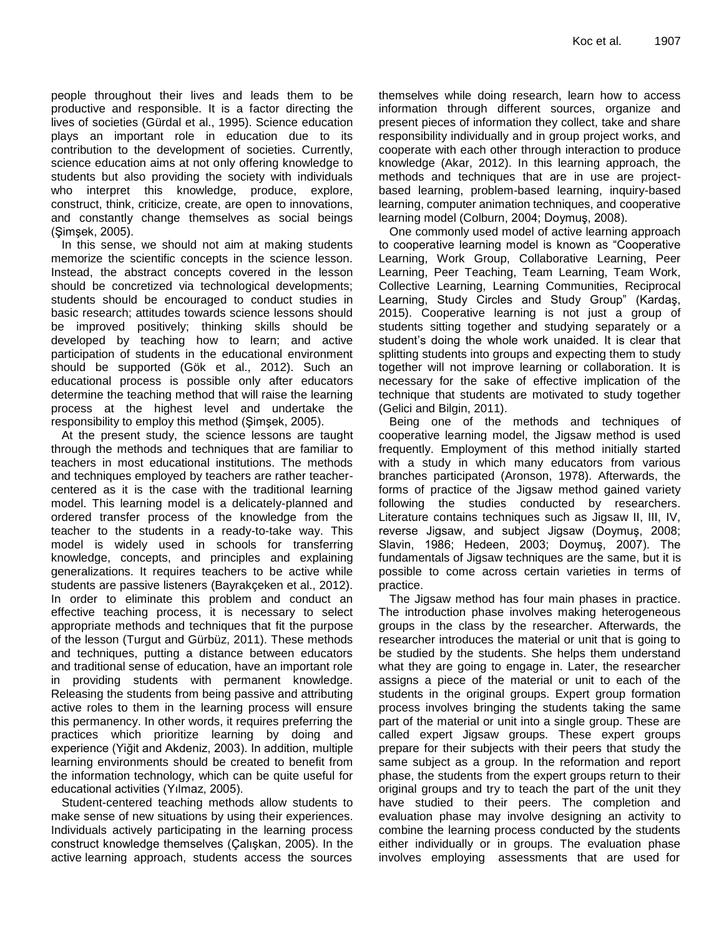people throughout their lives and leads them to be productive and responsible. It is a factor directing the lives of societies (Gürdal et al., 1995). Science education plays an important role in education due to its contribution to the development of societies. Currently, science education aims at not only offering knowledge to students but also providing the society with individuals who interpret this knowledge, produce, explore, construct, think, criticize, create, are open to innovations, and constantly change themselves as social beings (Şimşek, 2005).

In this sense, we should not aim at making students memorize the scientific concepts in the science lesson. Instead, the abstract concepts covered in the lesson should be concretized via technological developments; students should be encouraged to conduct studies in basic research; attitudes towards science lessons should be improved positively; thinking skills should be developed by teaching how to learn; and active participation of students in the educational environment should be supported (Gök et al., 2012). Such an educational process is possible only after educators determine the teaching method that will raise the learning process at the highest level and undertake the responsibility to employ this method (Şimşek, 2005).

At the present study, the science lessons are taught through the methods and techniques that are familiar to teachers in most educational institutions. The methods and techniques employed by teachers are rather teachercentered as it is the case with the traditional learning model. This learning model is a delicately-planned and ordered transfer process of the knowledge from the teacher to the students in a ready-to-take way. This model is widely used in schools for transferring knowledge, concepts, and principles and explaining generalizations. It requires teachers to be active while students are passive listeners (Bayrakçeken et al., 2012). In order to eliminate this problem and conduct an effective teaching process, it is necessary to select appropriate methods and techniques that fit the purpose of the lesson (Turgut and Gürbüz, 2011). These methods and techniques, putting a distance between educators and traditional sense of education, have an important role in providing students with permanent knowledge. Releasing the students from being passive and attributing active roles to them in the learning process will ensure this permanency. In other words, it requires preferring the practices which prioritize learning by doing and experience (Yiğit and Akdeniz, 2003). In addition, multiple learning environments should be created to benefit from the information technology, which can be quite useful for educational activities (Yılmaz, 2005).

Student-centered teaching methods allow students to make sense of new situations by using their experiences. Individuals actively participating in the learning process construct knowledge themselves (Çalışkan, 2005). In the active learning approach, students access the sources themselves while doing research, learn how to access information through different sources, organize and present pieces of information they collect, take and share responsibility individually and in group project works, and cooperate with each other through interaction to produce knowledge (Akar, 2012). In this learning approach, the methods and techniques that are in use are projectbased learning, problem-based learning, inquiry-based learning, computer animation techniques, and cooperative learning model (Colburn, 2004; Doymuş, 2008).

One commonly used model of active learning approach to cooperative learning model is known as "Cooperative Learning, Work Group, Collaborative Learning, Peer Learning, Peer Teaching, Team Learning, Team Work, Collective Learning, Learning Communities, Reciprocal Learning, Study Circles and Study Group" (Kardaş, 2015). Cooperative learning is not just a group of students sitting together and studying separately or a student's doing the whole work unaided. It is clear that splitting students into groups and expecting them to study together will not improve learning or collaboration. It is necessary for the sake of effective implication of the technique that students are motivated to study together (Gelici and Bilgin, 2011).

Being one of the methods and techniques of cooperative learning model, the Jigsaw method is used frequently. Employment of this method initially started with a study in which many educators from various branches participated (Aronson, 1978). Afterwards, the forms of practice of the Jigsaw method gained variety following the studies conducted by researchers. Literature contains techniques such as Jigsaw II, III, IV, reverse Jigsaw, and subject Jigsaw (Doymuş, 2008; Slavin, 1986; Hedeen, 2003; Doymuş, 2007). The fundamentals of Jigsaw techniques are the same, but it is possible to come across certain varieties in terms of practice.

The Jigsaw method has four main phases in practice. The introduction phase involves making heterogeneous groups in the class by the researcher. Afterwards, the researcher introduces the material or unit that is going to be studied by the students. She helps them understand what they are going to engage in. Later, the researcher assigns a piece of the material or unit to each of the students in the original groups. Expert group formation process involves bringing the students taking the same part of the material or unit into a single group. These are called expert Jigsaw groups. These expert groups prepare for their subjects with their peers that study the same subject as a group. In the reformation and report phase, the students from the expert groups return to their original groups and try to teach the part of the unit they have studied to their peers. The completion and evaluation phase may involve designing an activity to combine the learning process conducted by the students either individually or in groups. The evaluation phase involves employing assessments that are used for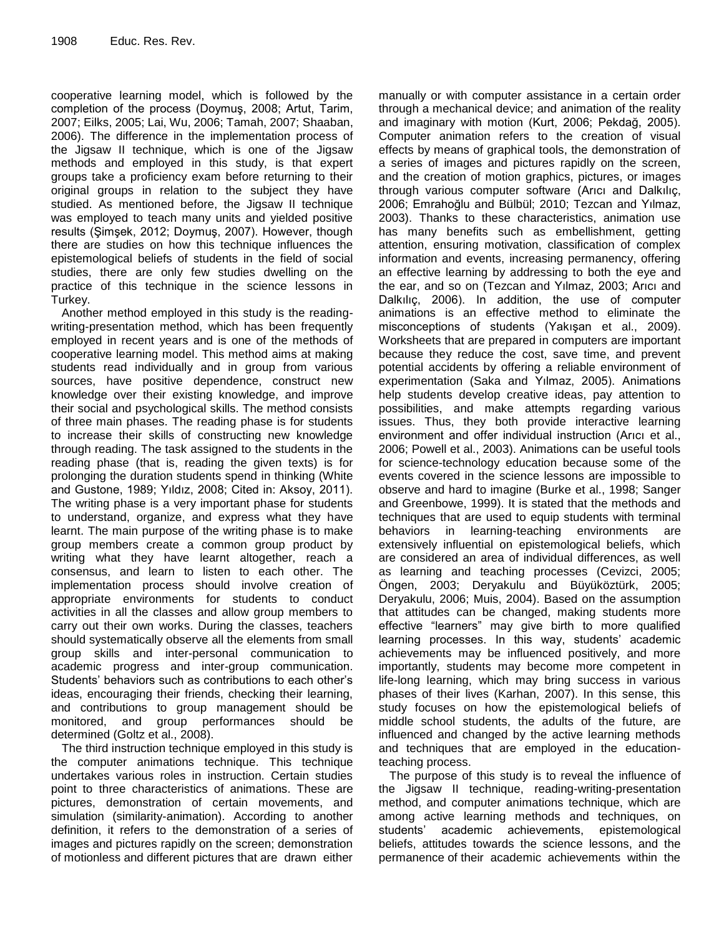cooperative learning model, which is followed by the completion of the process (Doymuş, 2008; Artut, Tarim, 2007; Eilks, 2005; Lai, Wu, 2006; Tamah, 2007; Shaaban, 2006). The difference in the implementation process of the Jigsaw II technique, which is one of the Jigsaw methods and employed in this study, is that expert groups take a proficiency exam before returning to their original groups in relation to the subject they have studied. As mentioned before, the Jigsaw II technique was employed to teach many units and yielded positive results (Şimşek, 2012; Doymuş, 2007). However, though there are studies on how this technique influences the epistemological beliefs of students in the field of social studies, there are only few studies dwelling on the practice of this technique in the science lessons in Turkey.

Another method employed in this study is the readingwriting-presentation method, which has been frequently employed in recent years and is one of the methods of cooperative learning model. This method aims at making students read individually and in group from various sources, have positive dependence, construct new knowledge over their existing knowledge, and improve their social and psychological skills. The method consists of three main phases. The reading phase is for students to increase their skills of constructing new knowledge through reading. The task assigned to the students in the reading phase (that is, reading the given texts) is for prolonging the duration students spend in thinking (White and Gustone, 1989; Yıldız, 2008; Cited in: Aksoy, 2011). The writing phase is a very important phase for students to understand, organize, and express what they have learnt. The main purpose of the writing phase is to make group members create a common group product by writing what they have learnt altogether, reach a consensus, and learn to listen to each other. The implementation process should involve creation of appropriate environments for students to conduct activities in all the classes and allow group members to carry out their own works. During the classes, teachers should systematically observe all the elements from small group skills and inter-personal communication to academic progress and inter-group communication. Students' behaviors such as contributions to each other's ideas, encouraging their friends, checking their learning, and contributions to group management should be monitored, and group performances should be determined (Goltz et al., 2008).

The third instruction technique employed in this study is the computer animations technique. This technique undertakes various roles in instruction. Certain studies point to three characteristics of animations. These are pictures, demonstration of certain movements, and simulation (similarity-animation). According to another definition, it refers to the demonstration of a series of images and pictures rapidly on the screen; demonstration of motionless and different pictures that are drawn either

manually or with computer assistance in a certain order through a mechanical device; and animation of the reality and imaginary with motion (Kurt, 2006; Pekdağ, 2005). Computer animation refers to the creation of visual effects by means of graphical tools, the demonstration of a series of images and pictures rapidly on the screen, and the creation of motion graphics, pictures, or images through various computer software (Arıcı and Dalkılıç, 2006; Emrahoğlu and Bülbül; 2010; Tezcan and Yılmaz, 2003). Thanks to these characteristics, animation use has many benefits such as embellishment, getting attention, ensuring motivation, classification of complex information and events, increasing permanency, offering an effective learning by addressing to both the eye and the ear, and so on (Tezcan and Yılmaz, 2003; Arıcı and Dalkılıç, 2006). In addition, the use of computer animations is an effective method to eliminate the misconceptions of students (Yakışan et al., 2009). Worksheets that are prepared in computers are important because they reduce the cost, save time, and prevent potential accidents by offering a reliable environment of experimentation (Saka and Yılmaz, 2005). Animations help students develop creative ideas, pay attention to possibilities, and make attempts regarding various issues. Thus, they both provide interactive learning environment and offer individual instruction (Arıcı et al., 2006; Powell et al., 2003). Animations can be useful tools for science-technology education because some of the events covered in the science lessons are impossible to observe and hard to imagine (Burke et al., 1998; Sanger and Greenbowe, 1999). It is stated that the methods and techniques that are used to equip students with terminal behaviors in learning-teaching environments are extensively influential on epistemological beliefs, which are considered an area of individual differences, as well as learning and teaching processes (Cevizci, 2005; Öngen, 2003; Deryakulu and Büyüköztürk, 2005; Deryakulu, 2006; Muis, 2004). Based on the assumption that attitudes can be changed, making students more effective "learners" may give birth to more qualified learning processes. In this way, students' academic achievements may be influenced positively, and more importantly, students may become more competent in life-long learning, which may bring success in various phases of their lives (Karhan, 2007). In this sense, this study focuses on how the epistemological beliefs of middle school students, the adults of the future, are influenced and changed by the active learning methods and techniques that are employed in the educationteaching process.

The purpose of this study is to reveal the influence of the Jigsaw II technique, reading-writing-presentation method, and computer animations technique, which are among active learning methods and techniques, on students' academic achievements, epistemological beliefs, attitudes towards the science lessons, and the permanence of their academic achievements within the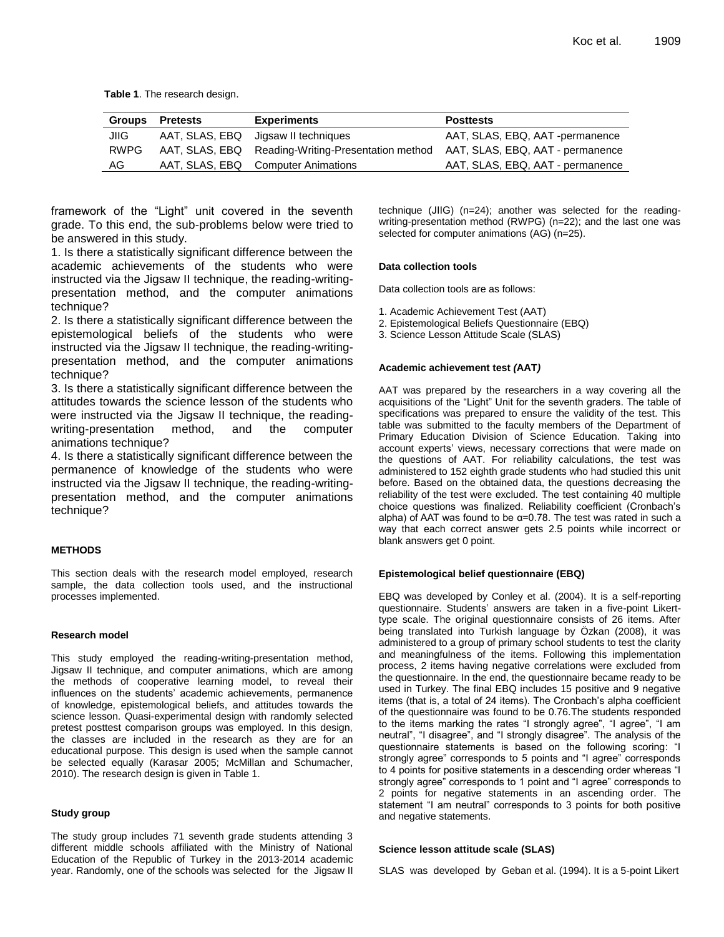**Table 1**. The research design.

| <b>Groups</b> | <b>Pretests</b> | <b>Experiments</b>                                 | <b>Posttests</b>                 |
|---------------|-----------------|----------------------------------------------------|----------------------------------|
| JIIG          |                 | AAT, SLAS, EBQ Jigsaw II techniques                | AAT, SLAS, EBQ, AAT -permanence  |
| <b>RWPG</b>   |                 | AAT, SLAS, EBQ Reading-Writing-Presentation method | AAT, SLAS, EBQ, AAT - permanence |
| AG.           |                 | AAT, SLAS, EBQ Computer Animations                 | AAT, SLAS, EBQ, AAT - permanence |

framework of the "Light" unit covered in the seventh grade. To this end, the sub-problems below were tried to be answered in this study.

1. Is there a statistically significant difference between the academic achievements of the students who were instructed via the Jigsaw II technique, the reading-writingpresentation method, and the computer animations technique?

2. Is there a statistically significant difference between the epistemological beliefs of the students who were instructed via the Jigsaw II technique, the reading-writingpresentation method, and the computer animations technique?

3. Is there a statistically significant difference between the attitudes towards the science lesson of the students who were instructed via the Jigsaw II technique, the readingwriting-presentation method, and the computer animations technique?

4. Is there a statistically significant difference between the permanence of knowledge of the students who were instructed via the Jigsaw II technique, the reading-writingpresentation method, and the computer animations technique?

#### **METHODS**

This section deals with the research model employed, research sample, the data collection tools used, and the instructional processes implemented.

#### **Research model**

This study employed the reading-writing-presentation method, Jigsaw II technique, and computer animations, which are among the methods of cooperative learning model, to reveal their influences on the students' academic achievements, permanence of knowledge, epistemological beliefs, and attitudes towards the science lesson. Quasi-experimental design with randomly selected pretest posttest comparison groups was employed. In this design, the classes are included in the research as they are for an educational purpose. This design is used when the sample cannot be selected equally (Karasar 2005; McMillan and Schumacher, 2010). The research design is given in Table 1.

#### **Study group**

The study group includes 71 seventh grade students attending 3 different middle schools affiliated with the Ministry of National Education of the Republic of Turkey in the 2013-2014 academic year. Randomly, one of the schools was selected for the Jigsaw II technique (JIIG) (n=24); another was selected for the readingwriting-presentation method (RWPG) (n=22); and the last one was selected for computer animations (AG) (n=25).

#### **Data collection tools**

Data collection tools are as follows:

1. Academic Achievement Test (AAT)

- 2. Epistemological Beliefs Questionnaire (EBQ)
- 3. Science Lesson Attitude Scale (SLAS)

#### **Academic achievement test** *(***AAT***)*

AAT was prepared by the researchers in a way covering all the acquisitions of the "Light" Unit for the seventh graders. The table of specifications was prepared to ensure the validity of the test. This table was submitted to the faculty members of the Department of Primary Education Division of Science Education. Taking into account experts' views, necessary corrections that were made on the questions of AAT. For reliability calculations, the test was administered to 152 eighth grade students who had studied this unit before. Based on the obtained data, the questions decreasing the reliability of the test were excluded. The test containing 40 multiple choice questions was finalized. Reliability coefficient (Cronbach's alpha) of AAT was found to be  $\alpha$ =0.78. The test was rated in such a way that each correct answer gets 2.5 points while incorrect or blank answers get 0 point.

#### **Epistemological belief questionnaire (EBQ)**

EBQ was developed by Conley et al. (2004). It is a self-reporting questionnaire. Students' answers are taken in a five-point Likerttype scale. The original questionnaire consists of 26 items. After being translated into Turkish language by Özkan (2008), it was administered to a group of primary school students to test the clarity and meaningfulness of the items. Following this implementation process, 2 items having negative correlations were excluded from the questionnaire. In the end, the questionnaire became ready to be used in Turkey. The final EBQ includes 15 positive and 9 negative items (that is, a total of 24 items). The Cronbach's alpha coefficient of the questionnaire was found to be 0.76.The students responded to the items marking the rates "I strongly agree", "I agree", "I am neutral", "I disagree", and "I strongly disagree". The analysis of the questionnaire statements is based on the following scoring: "I strongly agree" corresponds to 5 points and "I agree" corresponds to 4 points for positive statements in a descending order whereas "I strongly agree" corresponds to 1 point and "I agree" corresponds to 2 points for negative statements in an ascending order. The statement "I am neutral" corresponds to 3 points for both positive and negative statements.

#### **Science lesson attitude scale (SLAS)**

SLAS was developed by Geban et al. (1994). It is a 5-point Likert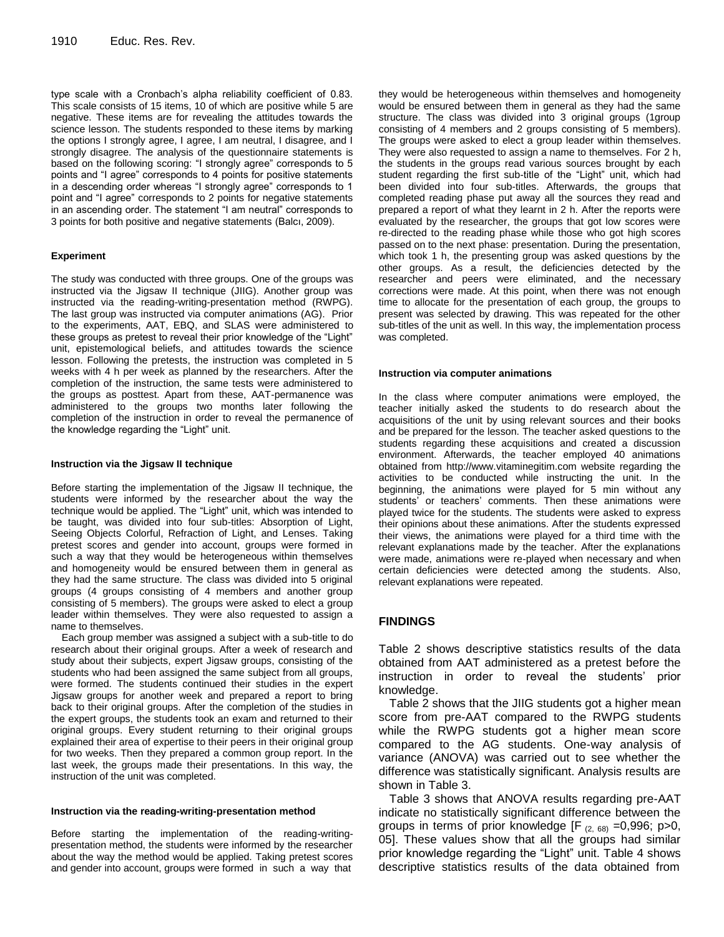type scale with a Cronbach's alpha reliability coefficient of 0.83. This scale consists of 15 items, 10 of which are positive while 5 are negative. These items are for revealing the attitudes towards the science lesson. The students responded to these items by marking the options I strongly agree, I agree, I am neutral, I disagree, and I strongly disagree. The analysis of the questionnaire statements is based on the following scoring: "I strongly agree" corresponds to 5 points and "I agree" corresponds to 4 points for positive statements in a descending order whereas "I strongly agree" corresponds to 1 point and "I agree" corresponds to 2 points for negative statements in an ascending order. The statement "I am neutral" corresponds to 3 points for both positive and negative statements (Balcı, 2009).

#### **Experiment**

The study was conducted with three groups. One of the groups was instructed via the Jigsaw II technique (JIIG). Another group was instructed via the reading-writing-presentation method (RWPG). The last group was instructed via computer animations (AG). Prior to the experiments, AAT, EBQ, and SLAS were administered to these groups as pretest to reveal their prior knowledge of the "Light" unit, epistemological beliefs, and attitudes towards the science lesson. Following the pretests, the instruction was completed in 5 weeks with 4 h per week as planned by the researchers. After the completion of the instruction, the same tests were administered to the groups as posttest. Apart from these, AAT-permanence was administered to the groups two months later following the completion of the instruction in order to reveal the permanence of the knowledge regarding the "Light" unit.

#### **Instruction via the Jigsaw II technique**

Before starting the implementation of the Jigsaw II technique, the students were informed by the researcher about the way the technique would be applied. The "Light" unit, which was intended to be taught, was divided into four sub-titles: Absorption of Light, Seeing Objects Colorful, Refraction of Light, and Lenses. Taking pretest scores and gender into account, groups were formed in such a way that they would be heterogeneous within themselves and homogeneity would be ensured between them in general as they had the same structure. The class was divided into 5 original groups (4 groups consisting of 4 members and another group consisting of 5 members). The groups were asked to elect a group leader within themselves. They were also requested to assign a name to themselves.

Each group member was assigned a subject with a sub-title to do research about their original groups. After a week of research and study about their subjects, expert Jigsaw groups, consisting of the students who had been assigned the same subject from all groups, were formed. The students continued their studies in the expert Jigsaw groups for another week and prepared a report to bring back to their original groups. After the completion of the studies in the expert groups, the students took an exam and returned to their original groups. Every student returning to their original groups explained their area of expertise to their peers in their original group for two weeks. Then they prepared a common group report. In the last week, the groups made their presentations. In this way, the instruction of the unit was completed.

#### **Instruction via the reading-writing-presentation method**

Before starting the implementation of the reading-writingpresentation method, the students were informed by the researcher about the way the method would be applied. Taking pretest scores and gender into account, groups were formed in such a way that

they would be heterogeneous within themselves and homogeneity would be ensured between them in general as they had the same structure. The class was divided into 3 original groups (1group consisting of 4 members and 2 groups consisting of 5 members). The groups were asked to elect a group leader within themselves. They were also requested to assign a name to themselves. For 2 h, the students in the groups read various sources brought by each student regarding the first sub-title of the "Light" unit, which had been divided into four sub-titles. Afterwards, the groups that completed reading phase put away all the sources they read and prepared a report of what they learnt in 2 h. After the reports were evaluated by the researcher, the groups that got low scores were re-directed to the reading phase while those who got high scores passed on to the next phase: presentation. During the presentation, which took 1 h, the presenting group was asked questions by the other groups. As a result, the deficiencies detected by the researcher and peers were eliminated, and the necessary corrections were made. At this point, when there was not enough time to allocate for the presentation of each group, the groups to present was selected by drawing. This was repeated for the other sub-titles of the unit as well. In this way, the implementation process was completed.

#### **Instruction via computer animations**

In the class where computer animations were employed, the teacher initially asked the students to do research about the acquisitions of the unit by using relevant sources and their books and be prepared for the lesson. The teacher asked questions to the students regarding these acquisitions and created a discussion environment. Afterwards, the teacher employed 40 animations obtained from http://www.vitaminegitim.com website regarding the activities to be conducted while instructing the unit. In the beginning, the animations were played for 5 min without any students' or teachers' comments. Then these animations were played twice for the students. The students were asked to express their opinions about these animations. After the students expressed their views, the animations were played for a third time with the relevant explanations made by the teacher. After the explanations were made, animations were re-played when necessary and when certain deficiencies were detected among the students. Also, relevant explanations were repeated.

# **FINDINGS**

Table 2 shows descriptive statistics results of the data obtained from AAT administered as a pretest before the instruction in order to reveal the students' prior knowledge.

Table 2 shows that the JIIG students got a higher mean score from pre-AAT compared to the RWPG students while the RWPG students got a higher mean score compared to the AG students. One-way analysis of variance (ANOVA) was carried out to see whether the difference was statistically significant. Analysis results are shown in Table 3.

Table 3 shows that ANOVA results regarding pre-AAT indicate no statistically significant difference between the groups in terms of prior knowledge  $[F_{(2, 68)} = 0,996; p > 0,$ 05]. These values show that all the groups had similar prior knowledge regarding the "Light" unit. Table 4 shows descriptive statistics results of the data obtained from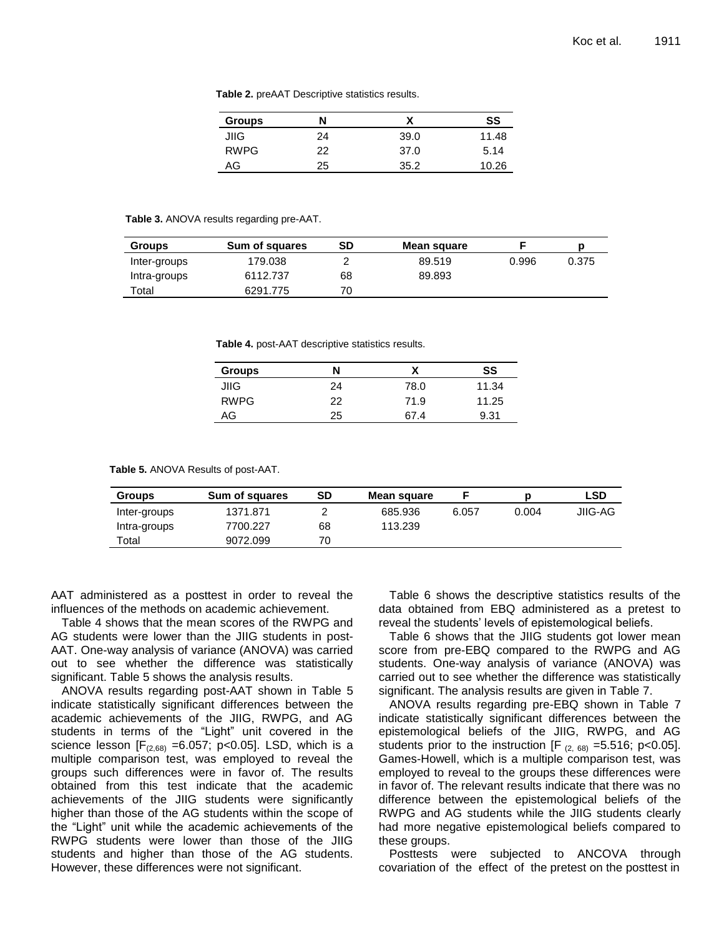| <b>Table 2.</b> preAAT Descriptive statistics results. |  |
|--------------------------------------------------------|--|
|--------------------------------------------------------|--|

| <b>Groups</b> | N  | v<br>Λ | SS    |
|---------------|----|--------|-------|
| JIIG          | 24 | 39.0   | 11.48 |
| <b>RWPG</b>   | 22 | 37.0   | 5.14  |
| AG            | 25 | 35.2   | 10.26 |

#### **Table 3.** ANOVA results regarding pre-AAT.

| <b>Groups</b> | Sum of squares | SD | Mean square |       |       |
|---------------|----------------|----|-------------|-------|-------|
| Inter-groups  | 179.038        |    | 89.519      | 0.996 | 0.375 |
| Intra-groups  | 6112.737       | 68 | 89.893      |       |       |
| $\tau$ otal   | 6291.775       | 70 |             |       |       |

**Table 4.** post-AAT descriptive statistics results.

| <b>Groups</b> | N  |      | SS    |
|---------------|----|------|-------|
| JIIG          | 24 | 78.0 | 11.34 |
| <b>RWPG</b>   | 22 | 71.9 | 11.25 |
| AG            | 25 | 67.4 | 9.31  |

**Table 5.** ANOVA Results of post-AAT.

| <b>Groups</b> | Sum of squares | SD | Mean square |       |       | LSD     |
|---------------|----------------|----|-------------|-------|-------|---------|
| Inter-groups  | 1371.871       |    | 685.936     | 6.057 | 0.004 | JIIG-AG |
| Intra-groups  | 7700.227       | 68 | 113.239     |       |       |         |
| Total         | 9072.099       | 70 |             |       |       |         |

AAT administered as a posttest in order to reveal the influences of the methods on academic achievement.

Table 4 shows that the mean scores of the RWPG and AG students were lower than the JIIG students in post-AAT. One-way analysis of variance (ANOVA) was carried out to see whether the difference was statistically significant. Table 5 shows the analysis results.

ANOVA results regarding post-AAT shown in Table 5 indicate statistically significant differences between the academic achievements of the JIIG, RWPG, and AG students in terms of the "Light" unit covered in the science lesson  $[F<sub>(2,68)</sub> = 6.057; p<0.05]$ . LSD, which is a multiple comparison test, was employed to reveal the groups such differences were in favor of. The results obtained from this test indicate that the academic achievements of the JIIG students were significantly higher than those of the AG students within the scope of the "Light" unit while the academic achievements of the RWPG students were lower than those of the JIIG students and higher than those of the AG students. However, these differences were not significant.

Table 6 shows the descriptive statistics results of the data obtained from EBQ administered as a pretest to reveal the students' levels of epistemological beliefs.

Table 6 shows that the JIIG students got lower mean score from pre-EBQ compared to the RWPG and AG students. One-way analysis of variance (ANOVA) was carried out to see whether the difference was statistically significant. The analysis results are given in Table 7.

ANOVA results regarding pre-EBQ shown in Table 7 indicate statistically significant differences between the epistemological beliefs of the JIIG, RWPG, and AG students prior to the instruction [F  $_{(2, 68)}$  =5.516; p<0.05]. Games-Howell, which is a multiple comparison test, was employed to reveal to the groups these differences were in favor of. The relevant results indicate that there was no difference between the epistemological beliefs of the RWPG and AG students while the JIIG students clearly had more negative epistemological beliefs compared to these groups.

Posttests were subjected to ANCOVA through covariation of the effect of the pretest on the posttest in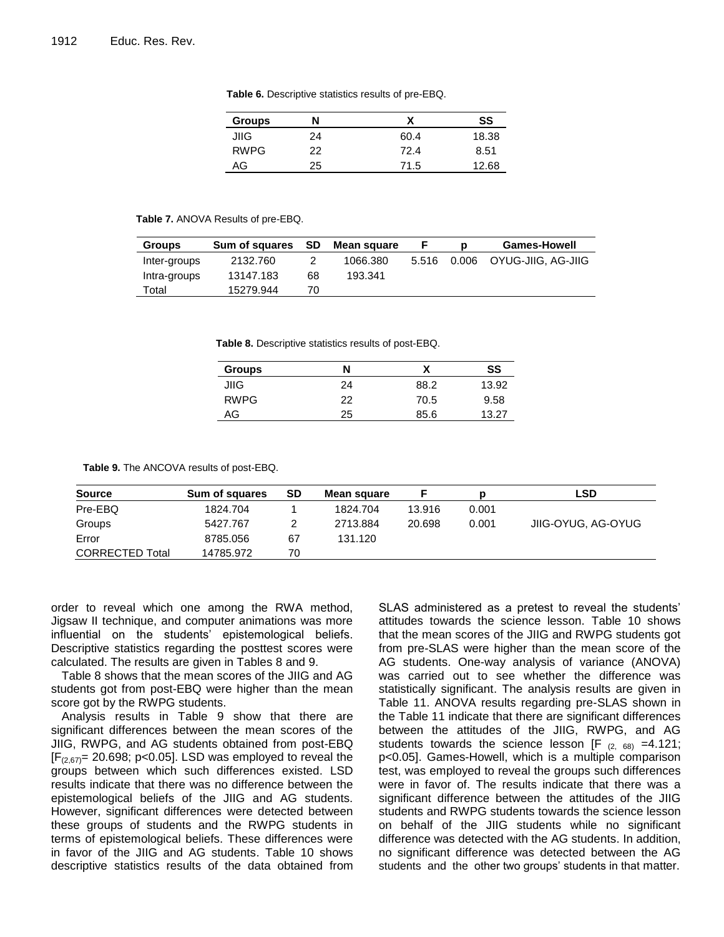| <b>Groups</b> | N  |      | SS    |
|---------------|----|------|-------|
| JIIG          | 24 | 60.4 | 18.38 |
| <b>RWPG</b>   | 22 | 72.4 | 8.51  |
| AG            | 25 | 71.5 | 12.68 |

**Table 6.** Descriptive statistics results of pre-EBQ.

#### **Table 7.** ANOVA Results of pre-EBQ.

| <b>Groups</b> | Sum of squares | - SD | Mean square |       | <b>Games-Howell</b>      |
|---------------|----------------|------|-------------|-------|--------------------------|
| Inter-groups  | 2132.760       |      | 1066.380    | 5.516 | 0.006 OYUG-JIIG, AG-JIIG |
| Intra-groups  | 13147.183      | 68   | 193.341     |       |                          |
| Total         | 15279.944      | 70   |             |       |                          |

**Table 8.** Descriptive statistics results of post-EBQ.

| <b>Groups</b> | N  | v    | SS    |
|---------------|----|------|-------|
| JIIG          | 24 | 88.2 | 13.92 |
| <b>RWPG</b>   | 22 | 70.5 | 9.58  |
| AG            | 25 | 85.6 | 13.27 |

**Table 9.** The ANCOVA results of post-EBQ.

| <b>Source</b>          | Sum of squares | SD | Mean square |        |       | <b>LSD</b>         |
|------------------------|----------------|----|-------------|--------|-------|--------------------|
| Pre-EBQ                | 1824.704       |    | 1824.704    | 13.916 | 0.001 |                    |
| Groups                 | 5427.767       |    | 2713.884    | 20.698 | 0.001 | JIIG-OYUG, AG-OYUG |
| Error                  | 8785.056       | 67 | 131.120     |        |       |                    |
| <b>CORRECTED Total</b> | 14785.972      | 70 |             |        |       |                    |

order to reveal which one among the RWA method, Jigsaw II technique, and computer animations was more influential on the students' epistemological beliefs. Descriptive statistics regarding the posttest scores were calculated. The results are given in Tables 8 and 9.

Table 8 shows that the mean scores of the JIIG and AG students got from post-EBQ were higher than the mean score got by the RWPG students.

Analysis results in Table 9 show that there are significant differences between the mean scores of the JIIG, RWPG, and AG students obtained from post-EBQ  $[F<sub>(2,67)</sub>]$  20.698; p<0.05]. LSD was employed to reveal the groups between which such differences existed. LSD results indicate that there was no difference between the epistemological beliefs of the JIIG and AG students. However, significant differences were detected between these groups of students and the RWPG students in terms of epistemological beliefs. These differences were in favor of the JIIG and AG students. Table 10 shows descriptive statistics results of the data obtained from

SLAS administered as a pretest to reveal the students' attitudes towards the science lesson. Table 10 shows that the mean scores of the JIIG and RWPG students got from pre-SLAS were higher than the mean score of the AG students. One-way analysis of variance (ANOVA) was carried out to see whether the difference was statistically significant. The analysis results are given in Table 11. ANOVA results regarding pre-SLAS shown in the Table 11 indicate that there are significant differences between the attitudes of the JIIG, RWPG, and AG students towards the science lesson  $[F_{(2, 68)} = 4.121;$ p<0.05]. Games-Howell, which is a multiple comparison test, was employed to reveal the groups such differences were in favor of. The results indicate that there was a significant difference between the attitudes of the JIIG students and RWPG students towards the science lesson on behalf of the JIIG students while no significant difference was detected with the AG students. In addition, no significant difference was detected between the AG students and the other two groups' students in that matter.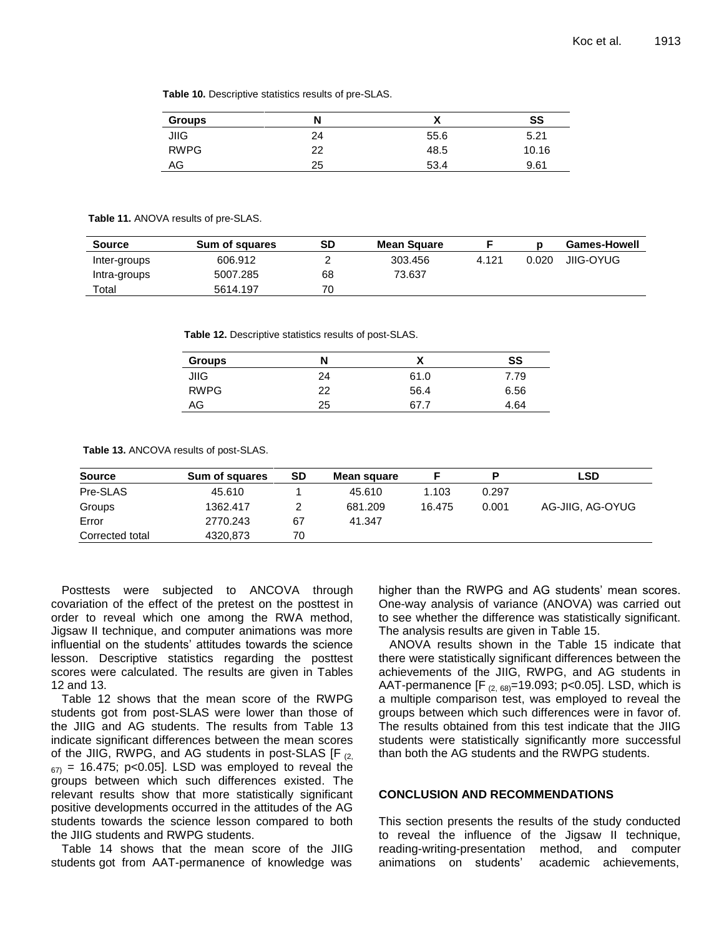**Table 10.** Descriptive statistics results of pre-SLAS.

| <b>Groups</b> | N  | v<br>Λ | SS    |
|---------------|----|--------|-------|
| <b>JIIG</b>   | 24 | 55.6   | 5.21  |
| <b>RWPG</b>   | 22 | 48.5   | 10.16 |
| AG            | 25 | 53.4   | 9.61  |

#### **Table 11.** ANOVA results of pre-SLAS.

| <b>Source</b> | <b>Sum of squares</b> | SD | <b>Mean Square</b> |       |       | <b>Games-Howell</b> |
|---------------|-----------------------|----|--------------------|-------|-------|---------------------|
| Inter-groups  | 606.912               |    | 303.456            | 4.121 | 0.020 | JIIG-OYUG           |
| Intra-groups  | 5007.285              | 68 | 73.637             |       |       |                     |
| Total         | 5614.197              | 70 |                    |       |       |                     |

**Table 12.** Descriptive statistics results of post-SLAS.

| <b>Groups</b> | N  |      | SS   |
|---------------|----|------|------|
| <b>JIIG</b>   | 24 | 61.0 | 7.79 |
| <b>RWPG</b>   | 22 | 56.4 | 6.56 |
| AG            | 25 |      | 4.64 |

**Table 13.** ANCOVA results of post-SLAS.

| <b>Source</b>   | <b>Sum of squares</b> | SD | Mean square |        | D     | LSD              |
|-----------------|-----------------------|----|-------------|--------|-------|------------------|
| Pre-SLAS        | 45.610                |    | 45.610      | 1.103  | 0.297 |                  |
| Groups          | 1362.417              | ົ  | 681.209     | 16.475 | 0.001 | AG-JIIG, AG-OYUG |
| Error           | 2770.243              | 67 | 41.347      |        |       |                  |
| Corrected total | 4320.873              | 70 |             |        |       |                  |

Posttests were subjected to ANCOVA through covariation of the effect of the pretest on the posttest in order to reveal which one among the RWA method, Jigsaw II technique, and computer animations was more influential on the students' attitudes towards the science lesson. Descriptive statistics regarding the posttest scores were calculated. The results are given in Tables 12 and 13.

Table 12 shows that the mean score of the RWPG students got from post-SLAS were lower than those of the JIIG and AG students. The results from Table 13 indicate significant differences between the mean scores of the JIIG, RWPG, and AG students in post-SLAS  $[F_{(2)}]$  $_{67}$  = 16.475; p<0.05]. LSD was employed to reveal the groups between which such differences existed. The relevant results show that more statistically significant positive developments occurred in the attitudes of the AG students towards the science lesson compared to both the JIIG students and RWPG students.

Table 14 shows that the mean score of the JIIG students got from AAT-permanence of knowledge was

higher than the RWPG and AG students' mean scores. One-way analysis of variance (ANOVA) was carried out to see whether the difference was statistically significant. The analysis results are given in Table 15.

ANOVA results shown in the Table 15 indicate that there were statistically significant differences between the achievements of the JIIG, RWPG, and AG students in AAT-permanence  $[F_{(2.68)}=19.093; p<0.05]$ . LSD, which is a multiple comparison test, was employed to reveal the groups between which such differences were in favor of. The results obtained from this test indicate that the JIIG students were statistically significantly more successful than both the AG students and the RWPG students.

## **CONCLUSION AND RECOMMENDATIONS**

This section presents the results of the study conducted to reveal the influence of the Jigsaw II technique, reading-writing-presentation method, and computer animations on students' academic achievements,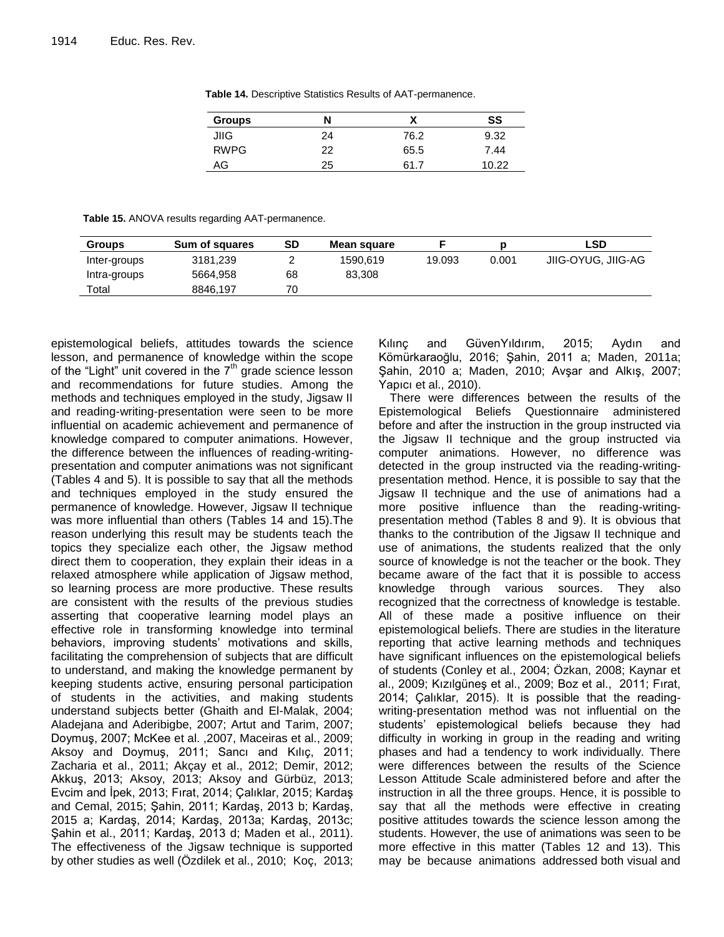| <b>Groups</b> | N  |      | SS    |
|---------------|----|------|-------|
| JIIG          | 24 | 76.2 | 9.32  |
| <b>RWPG</b>   | 22 | 65.5 | 7.44  |
| AG            | 25 | 61.7 | 1በ 22 |

**Table 14.** Descriptive Statistics Results of AAT-permanence.

**Table 15.** ANOVA results regarding AAT-permanence.

| <b>Groups</b> | Sum of squares | <b>SD</b> | Mean square |        |       | LSD                |
|---------------|----------------|-----------|-------------|--------|-------|--------------------|
| Inter-groups  | 3181,239       |           | 1590.619    | 19.093 | 0.001 | JIIG-OYUG, JIIG-AG |
| Intra-groups  | 5664,958       | 68        | 83.308      |        |       |                    |
| Total         | 8846.197       | 70        |             |        |       |                    |

epistemological beliefs, attitudes towards the science lesson, and permanence of knowledge within the scope of the "Light" unit covered in the  $7<sup>th</sup>$  grade science lesson and recommendations for future studies. Among the methods and techniques employed in the study, Jigsaw II and reading-writing-presentation were seen to be more influential on academic achievement and permanence of knowledge compared to computer animations. However, the difference between the influences of reading-writingpresentation and computer animations was not significant (Tables 4 and 5). It is possible to say that all the methods and techniques employed in the study ensured the permanence of knowledge. However, Jigsaw II technique was more influential than others (Tables 14 and 15).The reason underlying this result may be students teach the topics they specialize each other, the Jigsaw method direct them to cooperation, they explain their ideas in a relaxed atmosphere while application of Jigsaw method, so learning process are more productive. These results are consistent with the results of the previous studies asserting that cooperative learning model plays an effective role in transforming knowledge into terminal behaviors, improving students' motivations and skills, facilitating the comprehension of subjects that are difficult to understand, and making the knowledge permanent by keeping students active, ensuring personal participation of students in the activities, and making students understand subjects better (Ghaith and El-Malak, 2004; Aladejana and Aderibigbe, 2007; Artut and Tarim, 2007; Doymuş, 2007; McKee et al. ,2007, Maceiras et al., 2009; Aksoy and Doymuş, 2011; Sancı and Kılıç, 2011; Zacharia et al., 2011; Akçay et al., 2012; Demir, 2012; Akkuş, 2013; Aksoy, 2013; Aksoy and Gürbüz, 2013; Evcim and İpek, 2013; Fırat, 2014; Çalıklar, 2015; Kardaş and Cemal, 2015; Şahin, 2011; Kardaş, 2013 b; Kardaş, 2015 a; Kardaş, 2014; Kardaş, 2013a; Kardaş, 2013c; Şahin et al., 2011; Kardaş, 2013 d; Maden et al., 2011). The effectiveness of the Jigsaw technique is supported by other studies as well (Ozdilek et al., 2010; Koç, 2013; Kılınç and GüvenYıldırım, 2015; Aydın and Kömürkaraoğlu, 2016; Şahin, 2011 a; Maden, 2011a; Şahin, 2010 a; Maden, 2010; Avşar and Alkış, 2007; Yapıcı et al., 2010).

There were differences between the results of the Epistemological Beliefs Questionnaire administered before and after the instruction in the group instructed via the Jigsaw II technique and the group instructed via computer animations. However, no difference was detected in the group instructed via the reading-writingpresentation method. Hence, it is possible to say that the Jigsaw II technique and the use of animations had a more positive influence than the reading-writingpresentation method (Tables 8 and 9). It is obvious that thanks to the contribution of the Jigsaw II technique and use of animations, the students realized that the only source of knowledge is not the teacher or the book. They became aware of the fact that it is possible to access knowledge through various sources. They also recognized that the correctness of knowledge is testable. All of these made a positive influence on their epistemological beliefs. There are studies in the literature reporting that active learning methods and techniques have significant influences on the epistemological beliefs of students (Conley et al., 2004; Özkan, 2008; Kaynar et al., 2009; Kızılgüneş et al., 2009; Boz et al., 2011; Fırat, 2014; Çalıklar, 2015). It is possible that the readingwriting-presentation method was not influential on the students' epistemological beliefs because they had difficulty in working in group in the reading and writing phases and had a tendency to work individually. There were differences between the results of the Science Lesson Attitude Scale administered before and after the instruction in all the three groups. Hence, it is possible to say that all the methods were effective in creating positive attitudes towards the science lesson among the students. However, the use of animations was seen to be more effective in this matter (Tables 12 and 13). This may be because animations addressed both visual and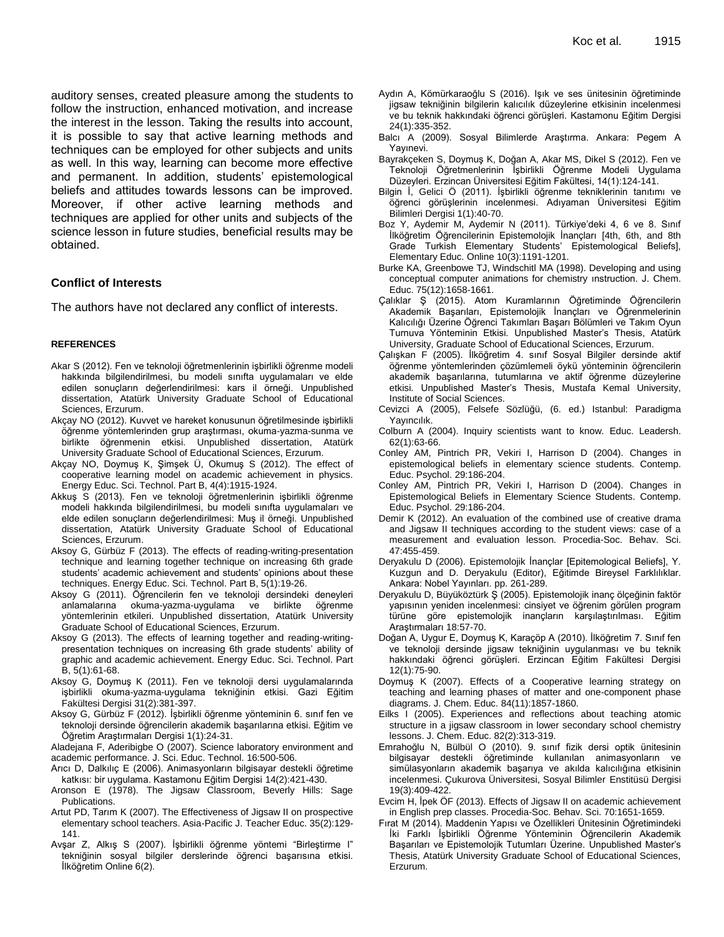auditory senses, created pleasure among the students to follow the instruction, enhanced motivation, and increase the interest in the lesson. Taking the results into account, it is possible to say that active learning methods and techniques can be employed for other subjects and units as well. In this way, learning can become more effective and permanent. In addition, students' epistemological beliefs and attitudes towards lessons can be improved. Moreover, if other active learning methods and techniques are applied for other units and subjects of the science lesson in future studies, beneficial results may be obtained.

# **Conflict of Interests**

The authors have not declared any conflict of interests.

### **REFERENCES**

- Akar S (2012). Fen ve teknoloji öğretmenlerinin işbirlikli öğrenme modeli hakkında bilgilendirilmesi, bu modeli sınıfta uygulamaları ve elde edilen sonuçların değerlendirilmesi: kars il örneği. Unpublished dissertation, Atatürk University Graduate School of Educational Sciences, Erzurum.
- Akçay NO (2012). Kuvvet ve hareket konusunun öğretilmesinde işbirlikli öğrenme yöntemlerinden grup araştırması, okuma-yazma-sunma ve birlikte öğrenmenin etkisi. Unpublished dissertation, Atatürk University Graduate School of Educational Sciences, Erzurum.
- Akçay NO, Doymuş K, Şimşek Ü, Okumuş S (2012). The effect of cooperative learning model on academic achievement in physics. Energy Educ. Sci. Technol. Part B, 4(4):1915-1924.
- Akkuş S (2013). Fen ve teknoloji öğretmenlerinin işbirlikli öğrenme modeli hakkında bilgilendirilmesi, bu modeli sınıfta uygulamaları ve elde edilen sonuçların değerlendirilmesi: Muş il örneği. Unpublished dissertation, Atatürk University Graduate School of Educational Sciences, Erzurum.
- Aksoy G, Gürbüz F (2013). The effects of reading-writing-presentation technique and learning together technique on increasing 6th grade students' academic achievement and students' opinions about these techniques. Energy Educ. Sci. Technol. Part B, 5(1):19-26.
- Aksoy G (2011). Öğrencilerin fen ve teknoloji dersindeki deneyleri anlamalarına okuma-yazma-uygulama ve birlikte öğrenme yöntemlerinin etkileri. Unpublished dissertation, Atatürk University Graduate School of Educational Sciences, Erzurum.
- Aksoy G (2013). The effects of learning together and reading-writingpresentation techniques on increasing 6th grade students' ability of graphic and academic achievement. Energy Educ. Sci. Technol. Part B, 5(1):61-68.
- Aksoy G, Doymuş K (2011). Fen ve teknoloji dersi uygulamalarında işbirlikli okuma-yazma-uygulama tekniğinin etkisi. Gazi Eğitim Fakültesi Dergisi 31(2):381-397.
- Aksoy G, Gürbüz F (2012). İşbirlikli öğrenme yönteminin 6. sınıf fen ve teknoloji dersinde öğrencilerin akademik başarılarına etkisi. Eğitim ve Öğretim Araştırmaları Dergisi 1(1):24-31.

Aladejana F, Aderibigbe O (2007). Science laboratory environment and academic performance. J. Sci. Educ. Technol. 16:500-506.

Arıcı D, Dalkılıç E (2006). Animasyonların bilgisayar destekli öğretime katkısı: bir uygulama. Kastamonu Eğitim Dergisi 14(2):421-430.

Aronson E (1978). The Jigsaw Classroom, Beverly Hills: Sage Publications.

Artut PD, Tarım K (2007). The Effectiveness of Jigsaw II on prospective elementary school teachers. Asia-Pacific J. Teacher Educ. 35(2):129- 141.

Avşar Z, Alkış S (2007). İşbirlikli öğrenme yöntemi "Birleştirme I" tekniğinin sosyal bilgiler derslerinde öğrenci başarısına etkisi. İlköğretim Online 6(2).

- Aydın A, Kömürkaraoğlu S (2016). Işık ve ses ünitesinin öğretiminde jigsaw tekniğinin bilgilerin kalıcılık düzeylerine etkisinin incelenmesi ve bu teknik hakkındaki öğrenci görüşleri. Kastamonu Eğitim Dergisi 24(1):335-352.
- Balcı A (2009). Sosyal Bilimlerde Araştırma. Ankara: Pegem A Yayınevi.
- Bayrakçeken S, Doymuş K, Doğan A, Akar MS, Dikel S (2012). Fen ve Teknoloji Öğretmenlerinin İşbirlikli Öğrenme Modeli Uygulama Düzeyleri. Erzincan Üniversitesi Eğitim Fakültesi, 14(1):124-141.
- Bilgin İ, Gelici Ö (2011). İşbirlikli öğrenme tekniklerinin tanıtımı ve öğrenci görüşlerinin incelenmesi. Adıyaman Üniversitesi Eğitim Bilimleri Dergisi 1(1):40-70.
- Boz Y, Aydemir M, Aydemir N (2011). Türkiye'deki 4, 6 ve 8. Sınıf İlköğretim Öğrencilerinin Epistemolojik İnançları [4th, 6th, and 8th Grade Turkish Elementary Students' Epistemological Beliefs], Elementary Educ. Online 10(3):1191-1201.
- Burke KA, Greenbowe TJ, Windschitl MA (1998). Developing and using conceptual computer animations for chemistry ınstruction. J. Chem. Educ. 75(12):1658-1661.
- Çalıklar Ş (2015). Atom Kuramlarının Öğretiminde Öğrencilerin Akademik Başarıları, Epistemolojik İnançları ve Öğrenmelerinin Kalıcılığı Üzerine Öğrenci Takımları Başarı Bölümleri ve Takım Oyun Turnuva Yönteminin Etkisi. Unpublished Master's Thesis, Atatürk University, Graduate School of Educational Sciences, Erzurum.
- Çalışkan F (2005). İlköğretim 4. sınıf Sosyal Bilgiler dersinde aktif öğrenme yöntemlerinden çözümlemeli öykü yönteminin öğrencilerin akademik başarılarına, tutumlarına ve aktif öğrenme düzeylerine etkisi. Unpublished Master's Thesis, Mustafa Kemal University, Institute of Social Sciences.
- Cevizci A (2005), Felsefe Sözlüğü, (6. ed.) Istanbul: Paradigma Yayıncılık.
- Colburn A (2004). Inquiry scientists want to know. Educ. Leadersh. 62(1):63-66.
- Conley AM, Pintrich PR, Vekiri I, Harrison D (2004). Changes in epistemological beliefs in elementary science students. Contemp. Educ. Psychol. 29:186-204.
- Conley AM, Pintrich PR, Vekiri I, Harrison D (2004). Changes in Epistemological Beliefs in Elementary Science Students. Contemp. Educ. Psychol. 29:186-204.
- Demir K (2012). An evaluation of the combined use of creative drama and Jigsaw II techniques according to the student views: case of a measurement and evaluation lesson. Procedia-Soc. Behav. Sci. 47:455-459.
- Deryakulu D (2006). Epistemolojik İnançlar [Epitemological Beliefs], Y. Kuzgun and D. Deryakulu (Editor), Eğitimde Bireysel Farklılıklar. Ankara: Nobel Yayınları. pp. 261-289.
- Deryakulu D, Büyüköztürk Ş (2005). Epistemolojik inanç ölçeğinin faktör yapısının yeniden incelenmesi: cinsiyet ve öğrenim görülen program türüne göre epistemolojik inançların karşılaştırılması. Eğitim Araştırmaları 18:57-70.
- Doğan A, Uygur E, Doymuş K, Karaçöp A (2010). İlköğretim 7. Sınıf fen ve teknoloji dersinde jigsaw tekniğinin uygulanması ve bu teknik hakkındaki öğrenci görüşleri. Erzincan Eğitim Fakültesi Dergisi 12(1):75-90.
- Doymuş K (2007). Effects of a Cooperative learning strategy on teaching and learning phases of matter and one-component phase diagrams. J. Chem. Educ. 84(11):1857-1860.
- Eilks I (2005). Experiences and reflections about teaching atomic structure in a jigsaw classroom in lower secondary school chemistry lessons. J. Chem. Educ. 82(2):313-319.
- Emrahoğlu N, Bülbül O (2010). 9. sınıf fizik dersi optik ünitesinin bilgisayar destekli öğretiminde kullanılan animasyonların ve simülasyonların akademik başarıya ve akılda kalıcılığına etkisinin incelenmesi. Çukurova Üniversitesi, Sosyal Bilimler Enstitüsü Dergisi 19(3):409-422.
- Evcim H, İpek ÖF (2013). Effects of Jigsaw II on academic achievement in English prep classes. Procedia-Soc. Behav. Sci. 70:1651-1659.
- Fırat M (2014). Maddenin Yapısı ve Özellikleri Ünitesinin Öğretimindeki İki Farklı İşbirlikli Öğrenme Yönteminin Öğrencilerin Akademik Başarıları ve Epistemolojik Tutumları Üzerine. Unpublished Master's Thesis, Atatürk University Graduate School of Educational Sciences, Erzurum.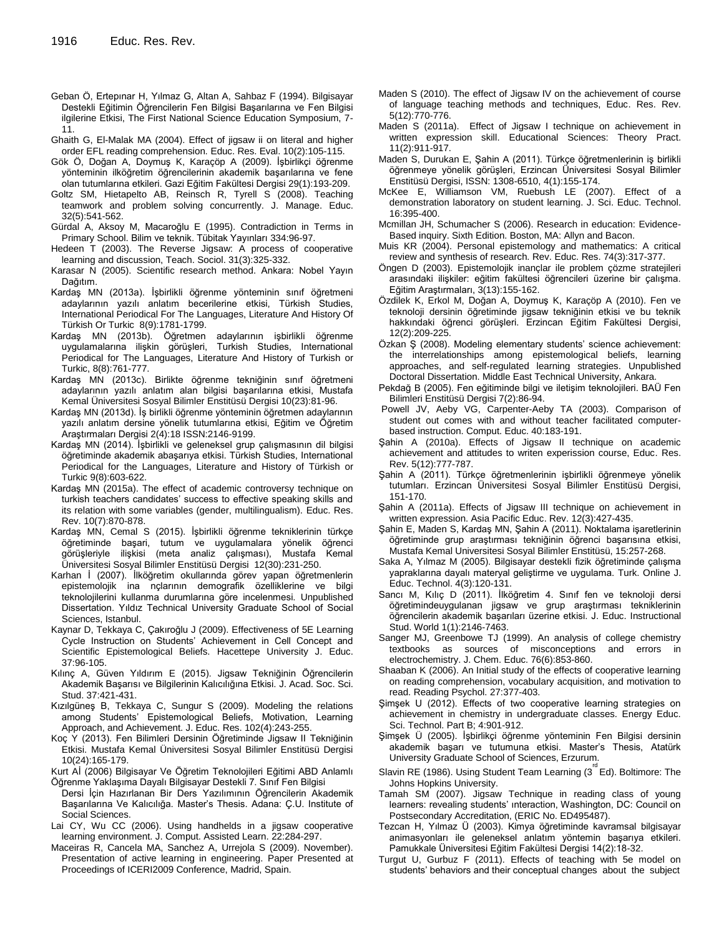- Geban Ö, Ertepınar H, Yılmaz G, Altan A, Sahbaz F (1994). Bilgisayar Destekli Eğitimin Öğrencilerin Fen Bilgisi Başarılarına ve Fen Bilgisi ilgilerine Etkisi, The First National Science Education Symposium, 7- 11.
- Ghaith G, El-Malak MA (2004). Effect of jigsaw ii on literal and higher order EFL reading comprehension. Educ. Res. Eval. 10(2):105-115.
- Gök Ö, Doğan A, Doymuş K, Karaçöp A (2009). İşbirlikçi öğrenme yönteminin ilköğretim öğrencilerinin akademik başarılarına ve fene olan tutumlarına etkileri. Gazi Eğitim Fakültesi Dergisi 29(1):193-209.
- Goltz SM, Hietapelto AB, Reinsch R, Tyrell S (2008). Teaching teamwork and problem solving concurrently. J. Manage. Educ. 32(5):541-562.
- Gürdal A, Aksoy M, Macaroğlu E (1995). Contradiction in Terms in Primary School. Bilim ve teknik. Tübitak Yayınları 334:96-97.
- Hedeen T (2003). The Reverse Jigsaw: A process of cooperative learning and discussion, Teach. Sociol. 31(3):325-332.
- Karasar N (2005). Scientific research method. Ankara: Nobel Yayın Dağıtım.
- Kardaş MN (2013a). İşbirlikli öğrenme yönteminin sınıf öğretmeni adaylarının yazılı anlatım becerilerine etkisi, Türkish Studies, International Periodical For The Languages, Literature And History Of Türkish Or Turkic 8(9):1781-1799.
- Kardaş MN (2013b). Öğretmen adaylarının işbirlikli öğrenme uygulamalarına ilişkin görüşleri, Turkish Studies, International Periodical for The Languages, Literature And History of Turkish or Turkic, 8(8):761-777.
- Kardaş MN (2013c). Birlikte öğrenme tekniğinin sınıf öğretmeni adaylarının yazılı anlatım alan bilgisi başarılarına etkisi, Mustafa Kemal Üniversitesi Sosyal Bilimler Enstitüsü Dergisi 10(23):81-96.
- Kardaş MN (2013d). İş birlikli öğrenme yönteminin öğretmen adaylarının yazılı anlatım dersine yönelik tutumlarına etkisi, Eğitim ve Öğretim Araştırmaları Dergisi 2(4):18 ISSN:2146-9199.
- Kardaş MN (2014). İşbirlikli ve geleneksel grup çalışmasının dil bilgisi öğretiminde akademik abaşarıya etkisi. Türkish Studies, International Periodical for the Languages, Literature and History of Türkish or Turkic 9(8):603-622.
- Kardaş MN (2015a). The effect of academic controversy technique on turkish teachers candidates' success to effective speaking skills and its relation with some variables (gender, multilingualism). Educ. Res. Rev. 10(7):870-878.
- Kardaş MN, Cemal S (2015). İşbirlikli öğrenme tekniklerinin türkçe öğretiminde başari, tutum ve uygulamalara yönelik öğrenci görüşleriyle ilişkisi (meta analiz çalışması), Mustafa Kemal Üniversitesi Sosyal Bilimler Enstitüsü Dergisi 12(30):231-250.
- Karhan İ (2007). İlköğretim okullarında görev yapan öğretmenlerin epistemolojik ina nçlarının demografik özelliklerine ve bilgi teknolojilerini kullanma durumlarına göre incelenmesi. Unpublished Dissertation. Yıldız Technical University Graduate School of Social Sciences, Istanbul.
- Kaynar D, Tekkaya C, Çakıroğlu J (2009). Effectiveness of 5E Learning Cycle Instruction on Students' Achievement in Cell Concept and Scientific Epistemological Beliefs. Hacettepe University J. Educ. 37:96-105.
- Kılınç A, Güven Yıldırım E (2015). Jigsaw Tekniğinin Öğrencilerin Akademik Başarısı ve Bilgilerinin Kalıcılığına Etkisi. J. Acad. Soc. Sci. Stud. 37:421-431.
- Kızılgüneş B, Tekkaya C, Sungur S (2009). Modeling the relations among Students' Epistemological Beliefs, Motivation, Learning Approach, and Achievement. J. Educ. Res. 102(4):243-255.
- Koç Y (2013). Fen Bilimleri Dersinin Öğretiminde Jigsaw II Tekniğinin Etkisi. Mustafa Kemal Üniversitesi Sosyal Bilimler Enstitüsü Dergisi 10(24):165-179.

Kurt Aİ (2006) Bilgisayar Ve Öğretim Teknolojileri Eğitimi ABD Anlamlı Öğrenme Yaklaşıma Dayalı Bilgisayar Destekli 7. Sınıf Fen Bilgisi

- Dersi İçin Hazırlanan Bir Ders Yazılımının Öğrencilerin Akademik Başarılarına Ve Kalıcılığa. Master's Thesis. Adana: Ç.U. Institute of Social Sciences.
- Lai CY, Wu CC (2006). Using handhelds in a jigsaw cooperative learning environment. J. Comput. Assisted Learn. 22:284-297.
- Maceiras R, Cancela MA, Sanchez A, Urrejola S (2009). November). Presentation of active learning in engineering. Paper Presented at Proceedings of ICERI2009 Conference, Madrid, Spain.
- Maden S (2010). The effect of Jigsaw IV on the achievement of course of language teaching methods and techniques, Educ. Res. Rev. 5(12):770-776.
- Maden S (2011a). Effect of Jigsaw I technique on achievement in written expression skill. Educational Sciences: Theory Pract. 11(2):911-917.
- Maden S, Durukan E, Şahin A (2011). Türkçe öğretmenlerinin iş birlikli öğrenmeye yönelik görüşleri, Erzincan Üniversitesi Sosyal Bilimler Enstitüsü Dergisi, ISSN: 1308-6510, 4(1):155-174.
- McKee E, Williamson VM, Ruebush LE (2007). Effect of a demonstration laboratory on student learning. J. Sci. Educ. Technol. 16:395-400.
- Mcmillan JH, Schumacher S (2006). Research in education: Evidence-Based inquiry. Sixth Edition. Boston, MA: Allyn and Bacon.
- Muis KR (2004). Personal epistemology and mathematics: A critical review and synthesis of research. Rev. Educ. Res. 74(3):317-377.
- Öngen D (2003). Epistemolojik inançlar ile problem çözme stratejileri arasındaki ilişkiler: eğitim fakültesi öğrencileri üzerine bir çalışma. Eğitim Araştırmaları, 3(13):155-162.
- Özdilek K, Erkol M, Doğan A, Doymuş K, Karaçöp A (2010). Fen ve teknoloji dersinin öğretiminde jigsaw tekniğinin etkisi ve bu teknik hakkındaki öğrenci görüşleri. Erzincan Eğitim Fakültesi Dergisi, 12(2):209-225.
- Özkan Ş (2008). Modeling elementary students' science achievement: the interrelationships among epistemological beliefs, learning approaches, and self-regulated learning strategies. Unpublished Doctoral Dissertation. Middle East Technical University, Ankara.
- Pekdağ B (2005). Fen eğitiminde bilgi ve iletişim teknolojileri. BAÜ Fen Bilimleri Enstitüsü Dergisi 7(2):86-94.
- Powell JV, Aeby VG, Carpenter-Aeby TA (2003). Comparison of student out comes with and without teacher facilitated computerbased instruction. Comput. Educ. 40:183-191.
- Şahin A (2010a). Effects of Jigsaw II technique on academic achievement and attitudes to writen experission course, Educ. Res. Rev. 5(12):777-787.
- Şahin A (2011). Türkçe öğretmenlerinin işbirlikli öğrenmeye yönelik tutumları. Erzincan Üniversitesi Sosyal Bilimler Enstitüsü Dergisi, 151-170.
- Şahin A (2011a). Effects of Jigsaw III technique on achievement in written expression. Asia Pacific Educ. Rev. 12(3):427-435.
- Şahin E, Maden S, Kardaş MN, Şahin A (2011). Noktalama işaretlerinin öğretiminde grup araştırması tekniğinin öğrenci başarısına etkisi, Mustafa Kemal Universitesi Sosyal Bilimler Enstitüsü, 15:257-268.
- Saka A, Yılmaz M (2005). Bilgisayar destekli fizik öğretiminde çalışma yapraklarına dayalı materyal geliştirme ve uygulama. Turk. Online J. Educ. Technol. 4(3):120-131.
- Sancı M, Kılıç D (2011). İlköğretim 4. Sınıf fen ve teknoloji dersi öğretimindeuygulanan jigsaw ve grup araştırması tekniklerinin öğrencilerin akademik başarıları üzerine etkisi. J. Educ. Instructional Stud. World 1(1):2146-7463.
- Sanger MJ, Greenbowe TJ (1999). An analysis of college chemistry textbooks as sources of misconceptions and errors in electrochemistry. J. Chem. Educ. 76(6):853-860.
- Shaaban K (2006). An Initial study of the effects of cooperative learning on reading comprehension, vocabulary acquisition, and motivation to read. Reading Psychol. 27:377-403.
- Şimşek U (2012). Effects of two cooperative learning strategies on achievement in chemistry in undergraduate classes. Energy Educ. Sci. Technol. Part B; 4:901-912.
- Şimşek Ü (2005). İşbirlikçi öğrenme yönteminin Fen Bilgisi dersinin akademik başarı ve tutumuna etkisi. Master's Thesis, Atatürk University Graduate School of Sciences, Erzurum.
- Slavin RE (1986). Using Student Team Learning (3<sup>rd</sup> Ed). Boltimore: The Johns Hopkins University.
- Tamah SM (2007). Jigsaw Technique in reading class of young learners: revealing students' ınteraction, Washington, DC: Council on Postsecondary Accreditation, (ERIC No. ED495487).
- Tezcan H, Yılmaz Ü (2003). Kimya öğretiminde kavramsal bilgisayar animasyonları ile geleneksel anlatım yöntemin başarıya etkileri. Pamukkale Üniversitesi Eğitim Fakültesi Dergisi 14(2):18-32.
- Turgut U, Gurbuz F (2011). Effects of teaching with 5e model on students' behaviors and their conceptual changes about the subject